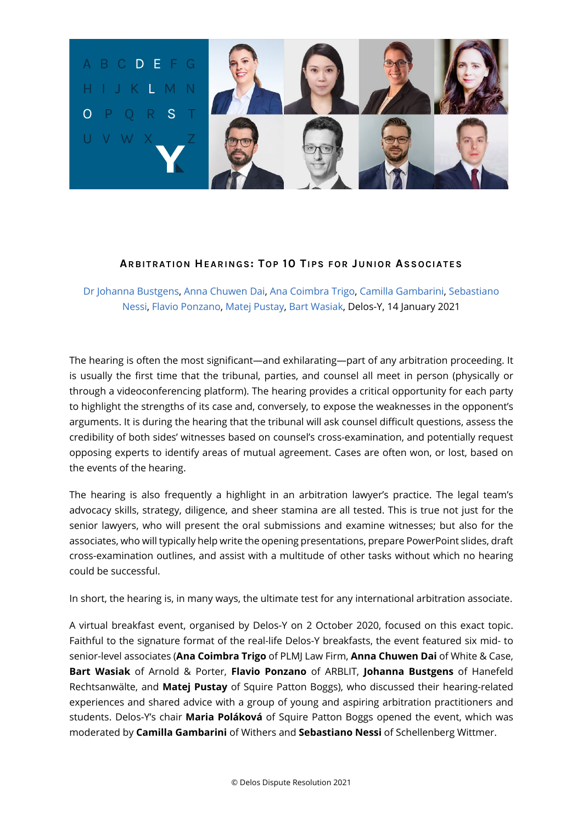

[Dr Johanna Bustgens,](https://www.linkedin.com/in/dr-johanna-b%C3%BCstgens-064b5a131/) [Anna Chuwen Dai,](https://www.linkedin.com/in/annachuwendai/) [Ana Coimbra Trigo,](https://www.linkedin.com/in/anacoimbratrigo/) [Camilla Gambarini,](https://www.linkedin.com/in/camillagambarini/) [Sebastiano](https://www.linkedin.com/in/sebastiano-nessi-173656a/)  [Nessi,](https://www.linkedin.com/in/sebastiano-nessi-173656a/) [Flavio Ponzano,](https://www.linkedin.com/in/flavio-ponzano-41273254/) [Matej Pustay,](https://www.linkedin.com/in/matej-pustay-6b992755/) [Bart Wasiak,](https://www.linkedin.com/in/bart-wasiak/) Delos-Y, 14 January 2021

The hearing is often the most significant—and exhilarating—part of any arbitration proceeding. It is usually the first time that the tribunal, parties, and counsel all meet in person (physically or through a videoconferencing platform). The hearing provides a critical opportunity for each party to highlight the strengths of its case and, conversely, to expose the weaknesses in the opponent's arguments. It is during the hearing that the tribunal will ask counsel difficult questions, assess the credibility of both sides' witnesses based on counsel's cross-examination, and potentially request opposing experts to identify areas of mutual agreement. Cases are often won, or lost, based on the events of the hearing.

The hearing is also frequently a highlight in an arbitration lawyer's practice. The legal team's advocacy skills, strategy, diligence, and sheer stamina are all tested. This is true not just for the senior lawyers, who will present the oral submissions and examine witnesses; but also for the associates, who will typically help write the opening presentations, prepare PowerPoint slides, draft cross-examination outlines, and assist with a multitude of other tasks without which no hearing could be successful.

In short, the hearing is, in many ways, the ultimate test for any international arbitration associate.

A virtual breakfast event, organised by Delos-Y on 2 October 2020, focused on this exact topic. Faithful to the signature format of the real-life Delos-Y breakfasts, the event featured six mid- to senior-level associates (**Ana Coimbra Trigo** of PLMJ Law Firm, **Anna Chuwen Dai** of White & Case, **Bart Wasiak** of Arnold & Porter, **Flavio Ponzano** of ARBLIT, **Johanna Bustgens** of Hanefeld Rechtsanwälte, and **Matej Pustay** of Squire Patton Boggs), who discussed their hearing-related experiences and shared advice with a group of young and aspiring arbitration practitioners and students. Delos-Y's chair **Maria Poláková** of Squire Patton Boggs opened the event, which was moderated by **Camilla Gambarini** of Withers and **Sebastiano Nessi** of Schellenberg Wittmer.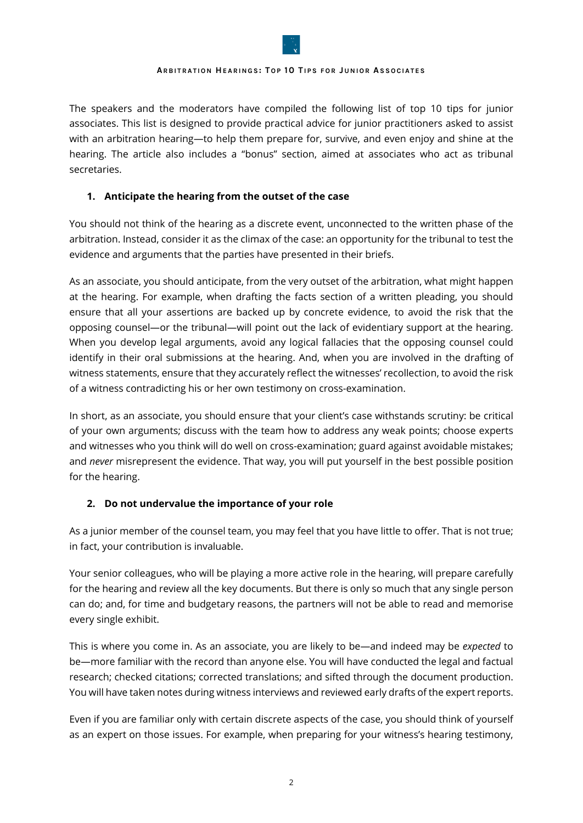

The speakers and the moderators have compiled the following list of top 10 tips for junior associates. This list is designed to provide practical advice for junior practitioners asked to assist with an arbitration hearing—to help them prepare for, survive, and even enjoy and shine at the hearing. The article also includes a "bonus" section, aimed at associates who act as tribunal secretaries.

## **1. Anticipate the hearing from the outset of the case**

You should not think of the hearing as a discrete event, unconnected to the written phase of the arbitration. Instead, consider it as the climax of the case: an opportunity for the tribunal to test the evidence and arguments that the parties have presented in their briefs.

As an associate, you should anticipate, from the very outset of the arbitration, what might happen at the hearing. For example, when drafting the facts section of a written pleading, you should ensure that all your assertions are backed up by concrete evidence, to avoid the risk that the opposing counsel—or the tribunal—will point out the lack of evidentiary support at the hearing. When you develop legal arguments, avoid any logical fallacies that the opposing counsel could identify in their oral submissions at the hearing. And, when you are involved in the drafting of witness statements, ensure that they accurately reflect the witnesses' recollection, to avoid the risk of a witness contradicting his or her own testimony on cross-examination.

In short, as an associate, you should ensure that your client's case withstands scrutiny: be critical of your own arguments; discuss with the team how to address any weak points; choose experts and witnesses who you think will do well on cross-examination; guard against avoidable mistakes; and *never* misrepresent the evidence. That way, you will put yourself in the best possible position for the hearing.

# **2. Do not undervalue the importance of your role**

As a junior member of the counsel team, you may feel that you have little to offer. That is not true; in fact, your contribution is invaluable.

Your senior colleagues, who will be playing a more active role in the hearing, will prepare carefully for the hearing and review all the key documents. But there is only so much that any single person can do; and, for time and budgetary reasons, the partners will not be able to read and memorise every single exhibit.

This is where you come in. As an associate, you are likely to be—and indeed may be *expected* to be—more familiar with the record than anyone else. You will have conducted the legal and factual research; checked citations; corrected translations; and sifted through the document production. You will have taken notes during witness interviews and reviewed early drafts of the expert reports.

Even if you are familiar only with certain discrete aspects of the case, you should think of yourself as an expert on those issues. For example, when preparing for your witness's hearing testimony,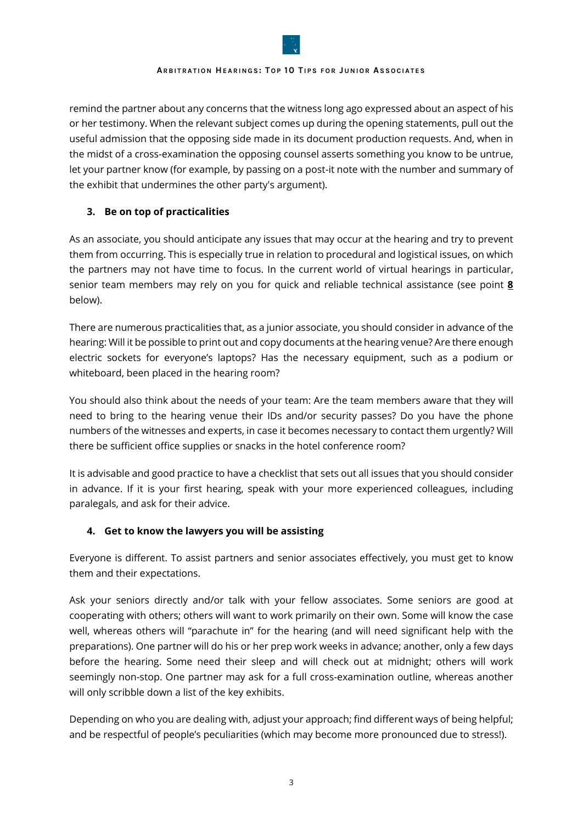

remind the partner about any concerns that the witness long ago expressed about an aspect of his or her testimony. When the relevant subject comes up during the opening statements, pull out the useful admission that the opposing side made in its document production requests. And, when in the midst of a cross-examination the opposing counsel asserts something you know to be untrue, let your partner know (for example, by passing on a post-it note with the number and summary of the exhibit that undermines the other party's argument).

# **3. Be on top of practicalities**

As an associate, you should anticipate any issues that may occur at the hearing and try to prevent them from occurring. This is especially true in relation to procedural and logistical issues, on which the partners may not have time to focus. In the current world of virtual hearings in particular, senior team members may rely on you for quick and reliable technical assistance (see point **8** below).

There are numerous practicalities that, as a junior associate, you should consider in advance of the hearing: Will it be possible to print out and copy documents at the hearing venue? Are there enough electric sockets for everyone's laptops? Has the necessary equipment, such as a podium or whiteboard, been placed in the hearing room?

You should also think about the needs of your team: Are the team members aware that they will need to bring to the hearing venue their IDs and/or security passes? Do you have the phone numbers of the witnesses and experts, in case it becomes necessary to contact them urgently? Will there be sufficient office supplies or snacks in the hotel conference room?

It is advisable and good practice to have a checklist that sets out all issues that you should consider in advance. If it is your first hearing, speak with your more experienced colleagues, including paralegals, and ask for their advice.

# **4. Get to know the lawyers you will be assisting**

Everyone is different. To assist partners and senior associates effectively, you must get to know them and their expectations.

Ask your seniors directly and/or talk with your fellow associates. Some seniors are good at cooperating with others; others will want to work primarily on their own. Some will know the case well, whereas others will "parachute in" for the hearing (and will need significant help with the preparations). One partner will do his or her prep work weeks in advance; another, only a few days before the hearing. Some need their sleep and will check out at midnight; others will work seemingly non-stop. One partner may ask for a full cross-examination outline, whereas another will only scribble down a list of the key exhibits.

Depending on who you are dealing with, adjust your approach; find different ways of being helpful; and be respectful of people's peculiarities (which may become more pronounced due to stress!).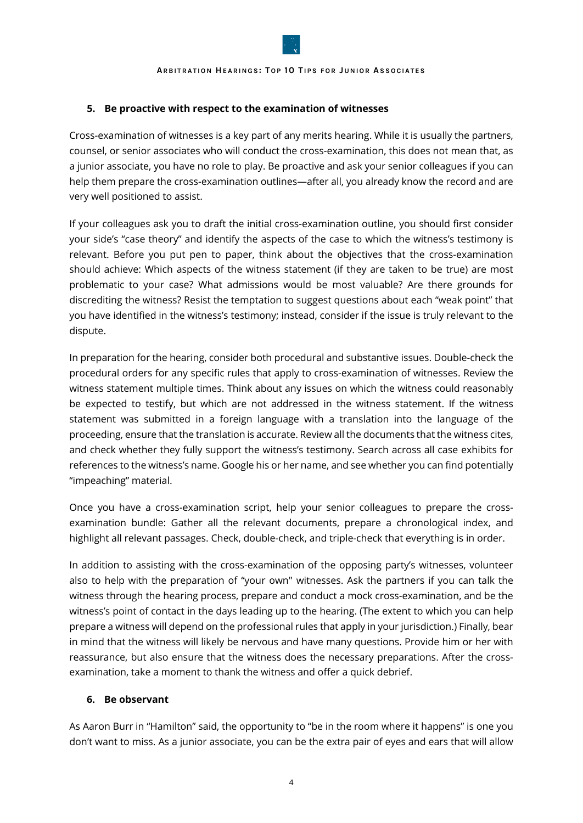

## **5. Be proactive with respect to the examination of witnesses**

Cross-examination of witnesses is a key part of any merits hearing. While it is usually the partners, counsel, or senior associates who will conduct the cross-examination, this does not mean that, as a junior associate, you have no role to play. Be proactive and ask your senior colleagues if you can help them prepare the cross-examination outlines—after all, you already know the record and are very well positioned to assist.

If your colleagues ask you to draft the initial cross-examination outline, you should first consider your side's "case theory" and identify the aspects of the case to which the witness's testimony is relevant. Before you put pen to paper, think about the objectives that the cross-examination should achieve: Which aspects of the witness statement (if they are taken to be true) are most problematic to your case? What admissions would be most valuable? Are there grounds for discrediting the witness? Resist the temptation to suggest questions about each "weak point" that you have identified in the witness's testimony; instead, consider if the issue is truly relevant to the dispute.

In preparation for the hearing, consider both procedural and substantive issues. Double-check the procedural orders for any specific rules that apply to cross-examination of witnesses. Review the witness statement multiple times. Think about any issues on which the witness could reasonably be expected to testify, but which are not addressed in the witness statement. If the witness statement was submitted in a foreign language with a translation into the language of the proceeding, ensure that the translation is accurate. Review all the documents that the witness cites, and check whether they fully support the witness's testimony. Search across all case exhibits for references to the witness's name. Google his or her name, and see whether you can find potentially "impeaching" material.

Once you have a cross-examination script, help your senior colleagues to prepare the crossexamination bundle: Gather all the relevant documents, prepare a chronological index, and highlight all relevant passages. Check, double-check, and triple-check that everything is in order.

In addition to assisting with the cross-examination of the opposing party's witnesses, volunteer also to help with the preparation of "your own" witnesses. Ask the partners if you can talk the witness through the hearing process, prepare and conduct a mock cross-examination, and be the witness's point of contact in the days leading up to the hearing. (The extent to which you can help prepare a witness will depend on the professional rules that apply in your jurisdiction.) Finally, bear in mind that the witness will likely be nervous and have many questions. Provide him or her with reassurance, but also ensure that the witness does the necessary preparations. After the crossexamination, take a moment to thank the witness and offer a quick debrief.

## **6. Be observant**

As Aaron Burr in "Hamilton" said, the opportunity to "be in the room where it happens" is one you don't want to miss. As a junior associate, you can be the extra pair of eyes and ears that will allow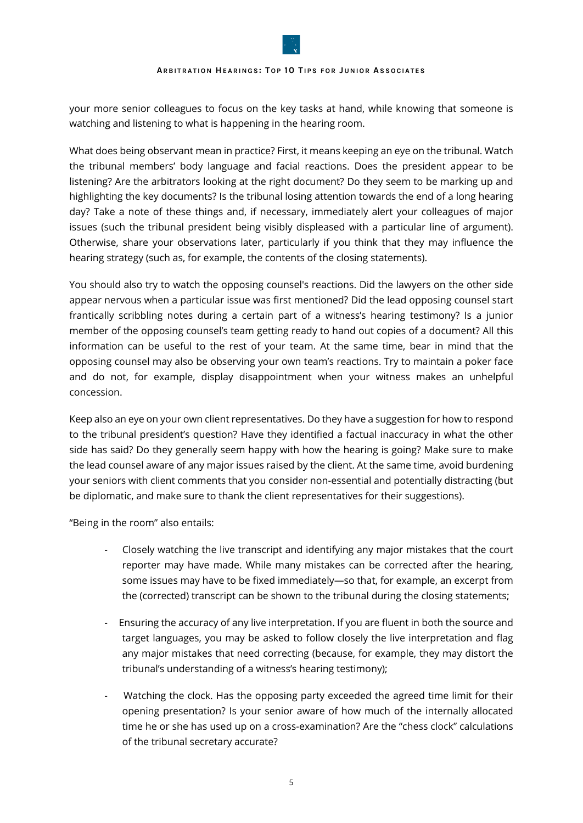your more senior colleagues to focus on the key tasks at hand, while knowing that someone is watching and listening to what is happening in the hearing room.

What does being observant mean in practice? First, it means keeping an eye on the tribunal. Watch the tribunal members' body language and facial reactions. Does the president appear to be listening? Are the arbitrators looking at the right document? Do they seem to be marking up and highlighting the key documents? Is the tribunal losing attention towards the end of a long hearing day? Take a note of these things and, if necessary, immediately alert your colleagues of major issues (such the tribunal president being visibly displeased with a particular line of argument). Otherwise, share your observations later, particularly if you think that they may influence the hearing strategy (such as, for example, the contents of the closing statements).

You should also try to watch the opposing counsel's reactions. Did the lawyers on the other side appear nervous when a particular issue was first mentioned? Did the lead opposing counsel start frantically scribbling notes during a certain part of a witness's hearing testimony? Is a junior member of the opposing counsel's team getting ready to hand out copies of a document? All this information can be useful to the rest of your team. At the same time, bear in mind that the opposing counsel may also be observing your own team's reactions. Try to maintain a poker face and do not, for example, display disappointment when your witness makes an unhelpful concession.

Keep also an eye on your own client representatives. Do they have a suggestion for how to respond to the tribunal president's question? Have they identified a factual inaccuracy in what the other side has said? Do they generally seem happy with how the hearing is going? Make sure to make the lead counsel aware of any major issues raised by the client. At the same time, avoid burdening your seniors with client comments that you consider non-essential and potentially distracting (but be diplomatic, and make sure to thank the client representatives for their suggestions).

"Being in the room" also entails:

- Closely watching the live transcript and identifying any major mistakes that the court reporter may have made. While many mistakes can be corrected after the hearing, some issues may have to be fixed immediately—so that, for example, an excerpt from the (corrected) transcript can be shown to the tribunal during the closing statements;
- Ensuring the accuracy of any live interpretation. If you are fluent in both the source and target languages, you may be asked to follow closely the live interpretation and flag any major mistakes that need correcting (because, for example, they may distort the tribunal's understanding of a witness's hearing testimony);
- Watching the clock. Has the opposing party exceeded the agreed time limit for their opening presentation? Is your senior aware of how much of the internally allocated time he or she has used up on a cross-examination? Are the "chess clock" calculations of the tribunal secretary accurate?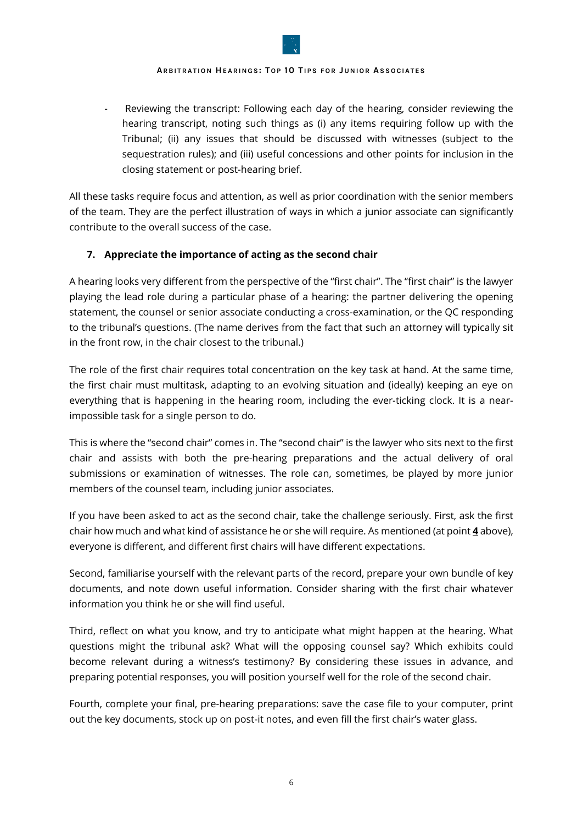

Reviewing the transcript: Following each day of the hearing, consider reviewing the hearing transcript, noting such things as (i) any items requiring follow up with the Tribunal; (ii) any issues that should be discussed with witnesses (subject to the sequestration rules); and (iii) useful concessions and other points for inclusion in the closing statement or post-hearing brief.

All these tasks require focus and attention, as well as prior coordination with the senior members of the team. They are the perfect illustration of ways in which a junior associate can significantly contribute to the overall success of the case.

## **7. Appreciate the importance of acting as the second chair**

A hearing looks very different from the perspective of the "first chair". The "first chair" is the lawyer playing the lead role during a particular phase of a hearing: the partner delivering the opening statement, the counsel or senior associate conducting a cross-examination, or the QC responding to the tribunal's questions. (The name derives from the fact that such an attorney will typically sit in the front row, in the chair closest to the tribunal.)

The role of the first chair requires total concentration on the key task at hand. At the same time, the first chair must multitask, adapting to an evolving situation and (ideally) keeping an eye on everything that is happening in the hearing room, including the ever-ticking clock. It is a nearimpossible task for a single person to do.

This is where the "second chair" comes in. The "second chair" is the lawyer who sits next to the first chair and assists with both the pre-hearing preparations and the actual delivery of oral submissions or examination of witnesses. The role can, sometimes, be played by more junior members of the counsel team, including junior associates.

If you have been asked to act as the second chair, take the challenge seriously. First, ask the first chair how much and what kind of assistance he or she will require. As mentioned (at point **4** above), everyone is different, and different first chairs will have different expectations.

Second, familiarise yourself with the relevant parts of the record, prepare your own bundle of key documents, and note down useful information. Consider sharing with the first chair whatever information you think he or she will find useful.

Third, reflect on what you know, and try to anticipate what might happen at the hearing. What questions might the tribunal ask? What will the opposing counsel say? Which exhibits could become relevant during a witness's testimony? By considering these issues in advance, and preparing potential responses, you will position yourself well for the role of the second chair.

Fourth, complete your final, pre-hearing preparations: save the case file to your computer, print out the key documents, stock up on post-it notes, and even fill the first chair's water glass.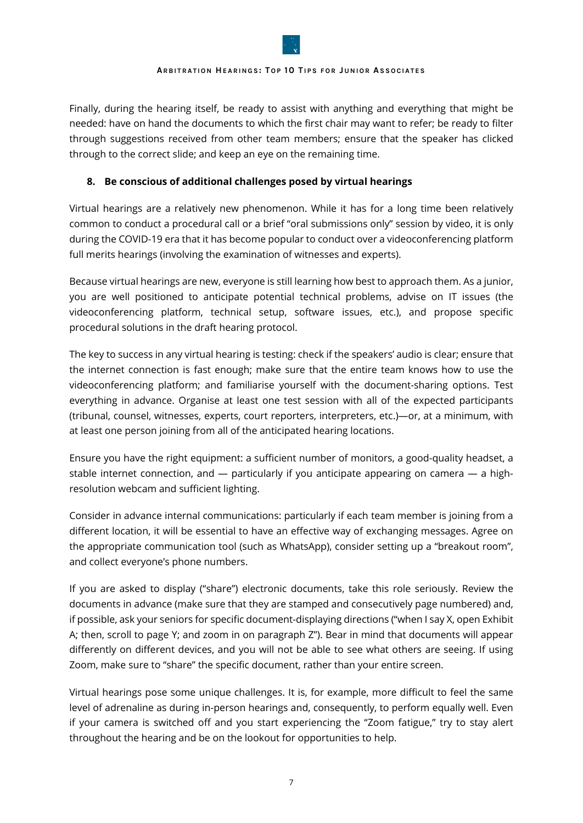

Finally, during the hearing itself, be ready to assist with anything and everything that might be needed: have on hand the documents to which the first chair may want to refer; be ready to filter through suggestions received from other team members; ensure that the speaker has clicked through to the correct slide; and keep an eye on the remaining time.

## **8. Be conscious of additional challenges posed by virtual hearings**

Virtual hearings are a relatively new phenomenon. While it has for a long time been relatively common to conduct a procedural call or a brief "oral submissions only" session by video, it is only during the COVID-19 era that it has become popular to conduct over a videoconferencing platform full merits hearings (involving the examination of witnesses and experts).

Because virtual hearings are new, everyone is still learning how best to approach them. As a junior, you are well positioned to anticipate potential technical problems, advise on IT issues (the videoconferencing platform, technical setup, software issues, etc.), and propose specific procedural solutions in the draft hearing protocol.

The key to success in any virtual hearing is testing: check if the speakers' audio is clear; ensure that the internet connection is fast enough; make sure that the entire team knows how to use the videoconferencing platform; and familiarise yourself with the document-sharing options. Test everything in advance. Organise at least one test session with all of the expected participants (tribunal, counsel, witnesses, experts, court reporters, interpreters, etc.)—or, at a minimum, with at least one person joining from all of the anticipated hearing locations.

Ensure you have the right equipment: a sufficient number of monitors, a good-quality headset, a stable internet connection, and  $-$  particularly if you anticipate appearing on camera  $-$  a highresolution webcam and sufficient lighting.

Consider in advance internal communications: particularly if each team member is joining from a different location, it will be essential to have an effective way of exchanging messages. Agree on the appropriate communication tool (such as WhatsApp), consider setting up a "breakout room", and collect everyone's phone numbers.

If you are asked to display ("share") electronic documents, take this role seriously. Review the documents in advance (make sure that they are stamped and consecutively page numbered) and, if possible, ask your seniors for specific document-displaying directions ("when I say X, open Exhibit A; then, scroll to page Y; and zoom in on paragraph Z"). Bear in mind that documents will appear differently on different devices, and you will not be able to see what others are seeing. If using Zoom, make sure to "share" the specific document, rather than your entire screen.

Virtual hearings pose some unique challenges. It is, for example, more difficult to feel the same level of adrenaline as during in-person hearings and, consequently, to perform equally well. Even if your camera is switched off and you start experiencing the "Zoom fatigue," try to stay alert throughout the hearing and be on the lookout for opportunities to help.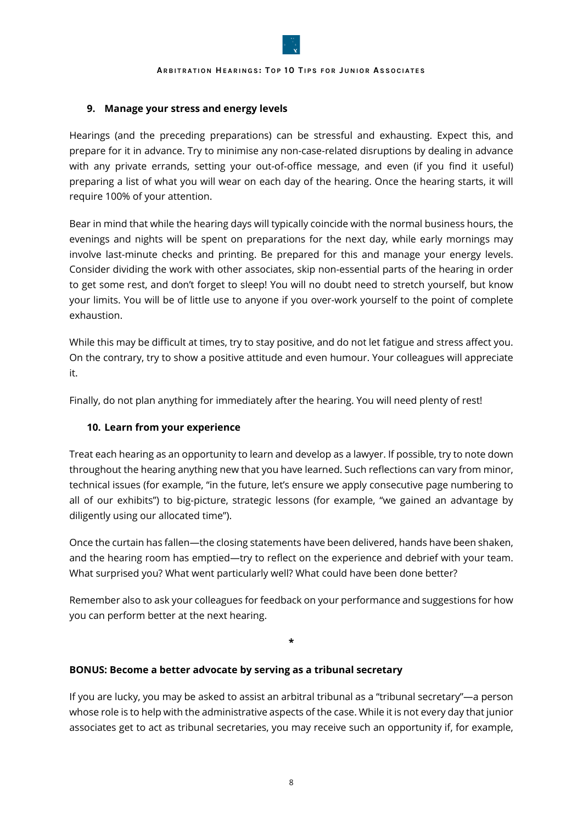

## **9. Manage your stress and energy levels**

Hearings (and the preceding preparations) can be stressful and exhausting. Expect this, and prepare for it in advance. Try to minimise any non-case-related disruptions by dealing in advance with any private errands, setting your out-of-office message, and even (if you find it useful) preparing a list of what you will wear on each day of the hearing. Once the hearing starts, it will require 100% of your attention.

Bear in mind that while the hearing days will typically coincide with the normal business hours, the evenings and nights will be spent on preparations for the next day, while early mornings may involve last-minute checks and printing. Be prepared for this and manage your energy levels. Consider dividing the work with other associates, skip non-essential parts of the hearing in order to get some rest, and don't forget to sleep! You will no doubt need to stretch yourself, but know your limits. You will be of little use to anyone if you over-work yourself to the point of complete exhaustion.

While this may be difficult at times, try to stay positive, and do not let fatigue and stress affect you. On the contrary, try to show a positive attitude and even humour. Your colleagues will appreciate it.

Finally, do not plan anything for immediately after the hearing. You will need plenty of rest!

## **10. Learn from your experience**

Treat each hearing as an opportunity to learn and develop as a lawyer. If possible, try to note down throughout the hearing anything new that you have learned. Such reflections can vary from minor, technical issues (for example, "in the future, let's ensure we apply consecutive page numbering to all of our exhibits") to big-picture, strategic lessons (for example, "we gained an advantage by diligently using our allocated time").

Once the curtain has fallen—the closing statements have been delivered, hands have been shaken, and the hearing room has emptied—try to reflect on the experience and debrief with your team. What surprised you? What went particularly well? What could have been done better?

Remember also to ask your colleagues for feedback on your performance and suggestions for how you can perform better at the next hearing.

**\***

## **BONUS: Become a better advocate by serving as a tribunal secretary**

If you are lucky, you may be asked to assist an arbitral tribunal as a "tribunal secretary"—a person whose role is to help with the administrative aspects of the case. While it is not every day that junior associates get to act as tribunal secretaries, you may receive such an opportunity if, for example,